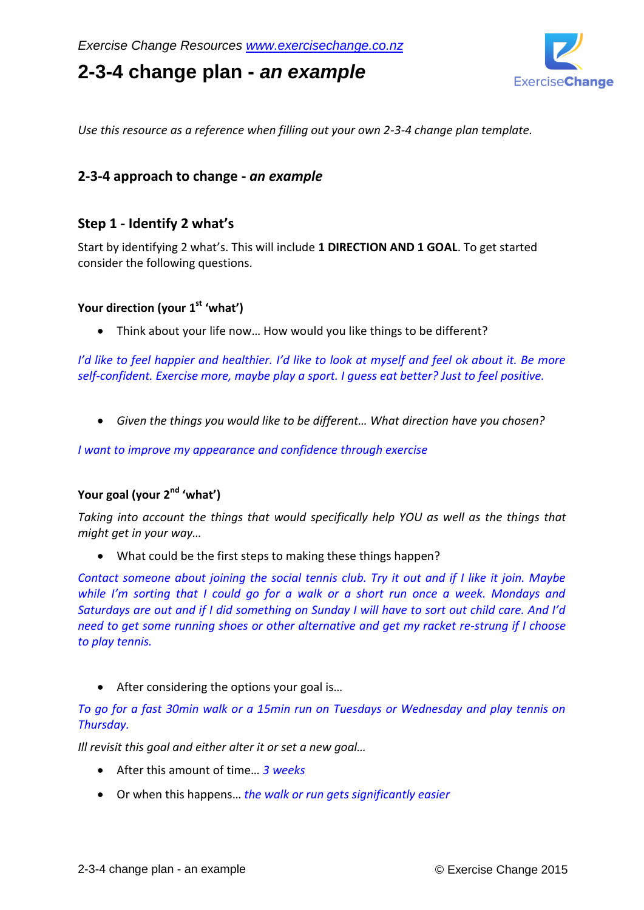# **2-3-4 change plan -** *an example*



*Use this resource as a reference when filling out your own 2-3-4 change plan template.*

### **2-3-4 approach to change -** *an example*

### **Step 1 - Identify 2 what's**

Start by identifying 2 what's. This will include **1 DIRECTION AND 1 GOAL**. To get started consider the following questions.

#### **Your direction (your 1st 'what')**

Think about your life now… How would you like things to be different?

*I'd like to feel happier and healthier. I'd like to look at myself and feel ok about it. Be more self-confident. Exercise more, maybe play a sport. I guess eat better? Just to feel positive.*

*Given the things you would like to be different… What direction have you chosen?*

*I want to improve my appearance and confidence through exercise*

### **Your goal (your 2nd 'what')**

*Taking into account the things that would specifically help YOU as well as the things that might get in your way…*

What could be the first steps to making these things happen?

*Contact someone about joining the social tennis club. Try it out and if I like it join. Maybe while I'm sorting that I could go for a walk or a short run once a week. Mondays and Saturdays are out and if I did something on Sunday I will have to sort out child care. And I'd need to get some running shoes or other alternative and get my racket re-strung if I choose to play tennis.*

• After considering the options your goal is...

*To go for a fast 30min walk or a 15min run on Tuesdays or Wednesday and play tennis on Thursday.* 

*Ill revisit this goal and either alter it or set a new goal…*

- After this amount of time… *3 weeks*
- Or when this happens… *the walk or run gets significantly easier*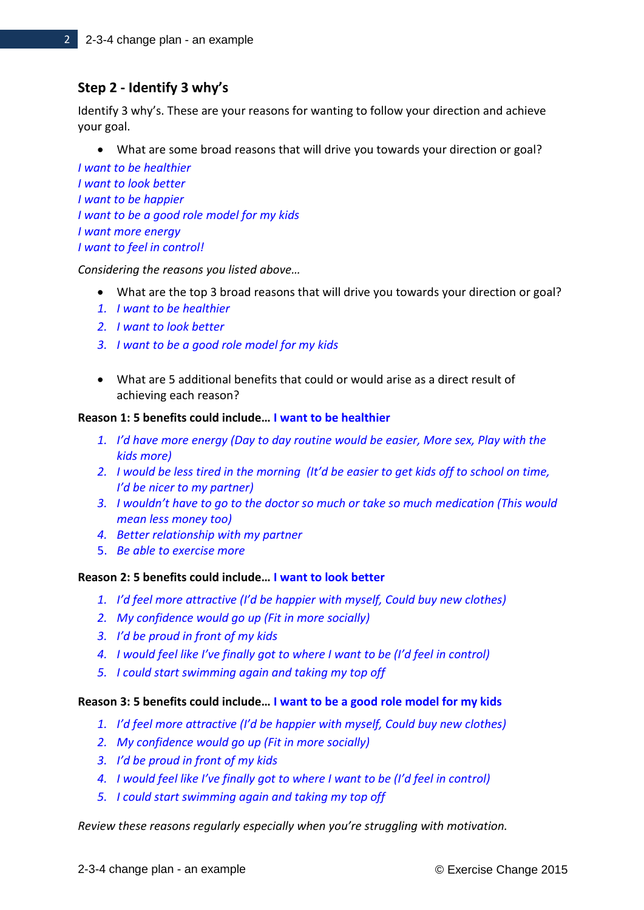# **Step 2 - Identify 3 why's**

Identify 3 why's. These are your reasons for wanting to follow your direction and achieve your goal.

What are some broad reasons that will drive you towards your direction or goal?

*I want to be healthier I want to look better I want to be happier I want to be a good role model for my kids I want more energy I want to feel in control!*

*Considering the reasons you listed above…*

- What are the top 3 broad reasons that will drive you towards your direction or goal?
- *1. I want to be healthier*
- *2. I want to look better*
- *3. I want to be a good role model for my kids*
- What are 5 additional benefits that could or would arise as a direct result of achieving each reason?

#### **Reason 1: 5 benefits could include… I want to be healthier**

- *1. I'd have more energy (Day to day routine would be easier, More sex, Play with the kids more)*
- *2. I would be less tired in the morning (It'd be easier to get kids off to school on time, I'd be nicer to my partner)*
- *3. I wouldn't have to go to the doctor so much or take so much medication (This would mean less money too)*
- *4. Better relationship with my partner*
- 5. *Be able to exercise more*

#### **Reason 2: 5 benefits could include… I want to look better**

- *1. I'd feel more attractive (I'd be happier with myself, Could buy new clothes)*
- *2. My confidence would go up (Fit in more socially)*
- *3. I'd be proud in front of my kids*
- *4. I would feel like I've finally got to where I want to be (I'd feel in control)*
- *5. I could start swimming again and taking my top off*

#### **Reason 3: 5 benefits could include… I want to be a good role model for my kids**

- *1. I'd feel more attractive (I'd be happier with myself, Could buy new clothes)*
- *2. My confidence would go up (Fit in more socially)*
- *3. I'd be proud in front of my kids*
- *4. I would feel like I've finally got to where I want to be (I'd feel in control)*
- *5. I could start swimming again and taking my top off*

*Review these reasons regularly especially when you're struggling with motivation.*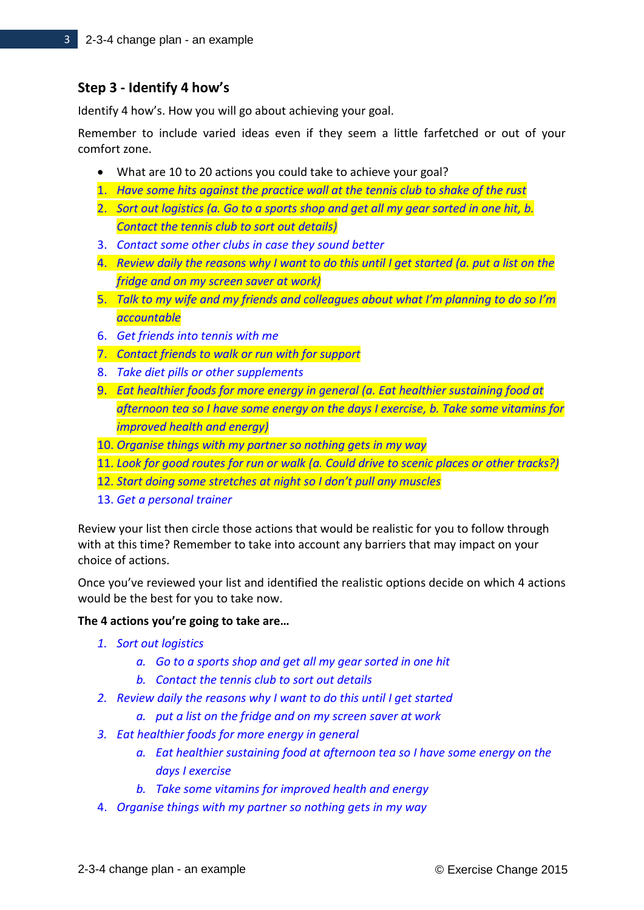## **Step 3 - Identify 4 how's**

Identify 4 how's. How you will go about achieving your goal.

Remember to include varied ideas even if they seem a little farfetched or out of your comfort zone.

- What are 10 to 20 actions you could take to achieve your goal?
- 1. *Have some hits against the practice wall at the tennis club to shake of the rust*
- 2. *Sort out logistics (a. Go to a sports shop and get all my gear sorted in one hit, b. Contact the tennis club to sort out details)*
- 3. *Contact some other clubs in case they sound better*
- 4. *Review daily the reasons why I want to do this until I get started (a. put a list on the fridge and on my screen saver at work)*
- 5. *Talk to my wife and my friends and colleagues about what I'm planning to do so I'm accountable*
- 6. *Get friends into tennis with me*
- 7. *Contact friends to walk or run with for support*
- 8. *Take diet pills or other supplements*
- 9. *Eat healthier foods for more energy in general (a. Eat healthier sustaining food at afternoon tea so I have some energy on the days I exercise, b. Take some vitamins for improved health and energy)*
- 10. *Organise things with my partner so nothing gets in my way*
- 11. *Look for good routes for run or walk (a. Could drive to scenic places or other tracks?)*
- 12. *Start doing some stretches at night so I don't pull any muscles*
- 13. *Get a personal trainer*

Review your list then circle those actions that would be realistic for you to follow through with at this time? Remember to take into account any barriers that may impact on your choice of actions.

Once you've reviewed your list and identified the realistic options decide on which 4 actions would be the best for you to take now.

#### **The 4 actions you're going to take are…**

- *1. Sort out logistics*
	- *a. Go to a sports shop and get all my gear sorted in one hit*
	- *b. Contact the tennis club to sort out details*
- *2. Review daily the reasons why I want to do this until I get started*
	- *a. put a list on the fridge and on my screen saver at work*
- *3. Eat healthier foods for more energy in general*
	- *a. Eat healthier sustaining food at afternoon tea so I have some energy on the days I exercise*
	- *b. Take some vitamins for improved health and energy*
- 4. *Organise things with my partner so nothing gets in my way*